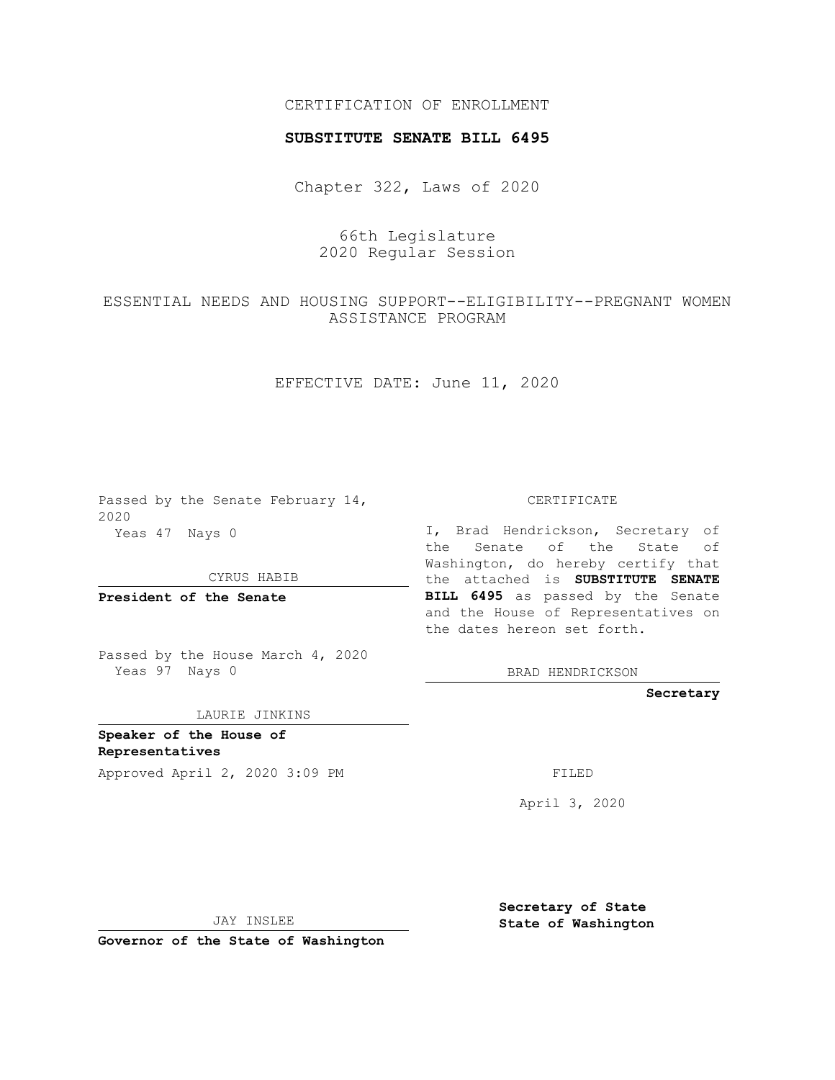## CERTIFICATION OF ENROLLMENT

## **SUBSTITUTE SENATE BILL 6495**

Chapter 322, Laws of 2020

66th Legislature 2020 Regular Session

ESSENTIAL NEEDS AND HOUSING SUPPORT--ELIGIBILITY--PREGNANT WOMEN ASSISTANCE PROGRAM

EFFECTIVE DATE: June 11, 2020

Passed by the Senate February 14, 2020 Yeas 47 Nays 0

CYRUS HABIB

**President of the Senate**

Passed by the House March 4, 2020 Yeas 97 Nays 0

LAURIE JINKINS

**Speaker of the House of Representatives**

Approved April 2, 2020 3:09 PM FILED

CERTIFICATE

I, Brad Hendrickson, Secretary of the Senate of the State of Washington, do hereby certify that the attached is **SUBSTITUTE SENATE BILL 6495** as passed by the Senate and the House of Representatives on the dates hereon set forth.

BRAD HENDRICKSON

**Secretary**

April 3, 2020

JAY INSLEE

**Governor of the State of Washington**

**Secretary of State State of Washington**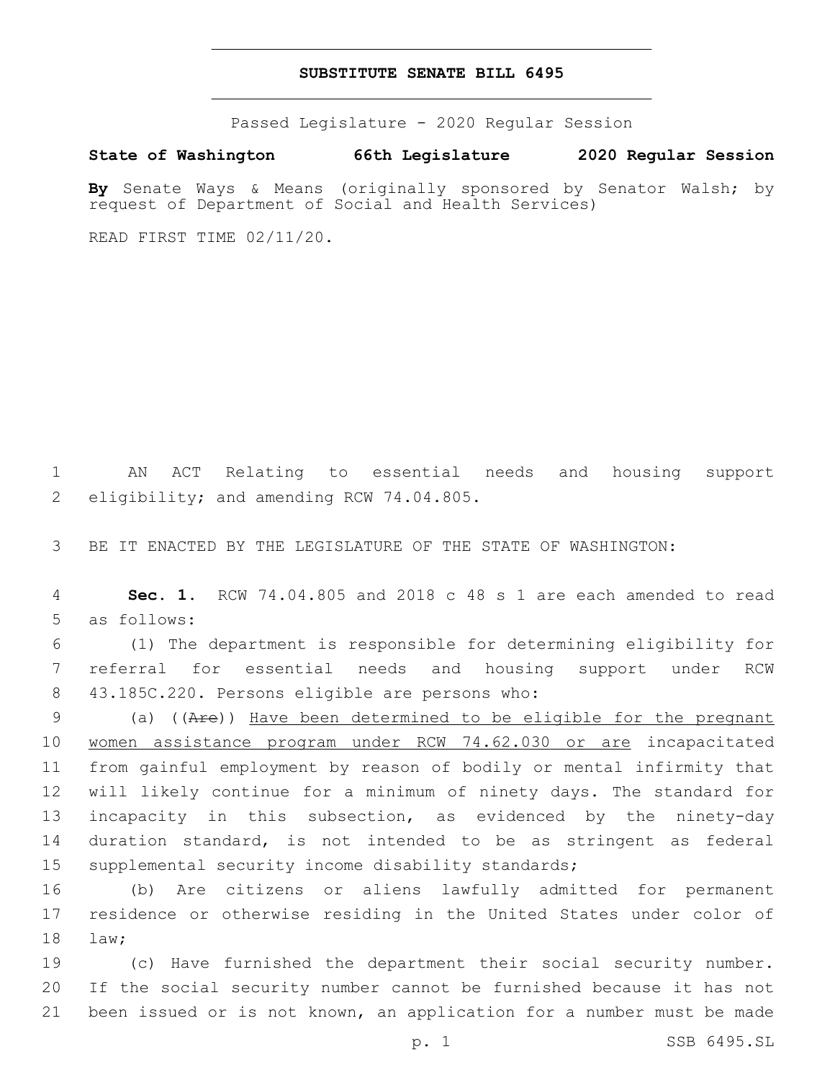## **SUBSTITUTE SENATE BILL 6495**

Passed Legislature - 2020 Regular Session

**State of Washington 66th Legislature 2020 Regular Session**

**By** Senate Ways & Means (originally sponsored by Senator Walsh; by request of Department of Social and Health Services)

READ FIRST TIME 02/11/20.

1 AN ACT Relating to essential needs and housing support 2 eligibility; and amending RCW 74.04.805.

3 BE IT ENACTED BY THE LEGISLATURE OF THE STATE OF WASHINGTON:

4 **Sec. 1.** RCW 74.04.805 and 2018 c 48 s 1 are each amended to read 5 as follows:

6 (1) The department is responsible for determining eligibility for 7 referral for essential needs and housing support under RCW 43.185C.220. Persons eligible are persons who:8

 (a) ((Are)) Have been determined to be eligible for the pregnant 10 women assistance program under RCW 74.62.030 or are incapacitated from gainful employment by reason of bodily or mental infirmity that will likely continue for a minimum of ninety days. The standard for incapacity in this subsection, as evidenced by the ninety-day duration standard, is not intended to be as stringent as federal supplemental security income disability standards;

16 (b) Are citizens or aliens lawfully admitted for permanent 17 residence or otherwise residing in the United States under color of 18 law;

19 (c) Have furnished the department their social security number. 20 If the social security number cannot be furnished because it has not 21 been issued or is not known, an application for a number must be made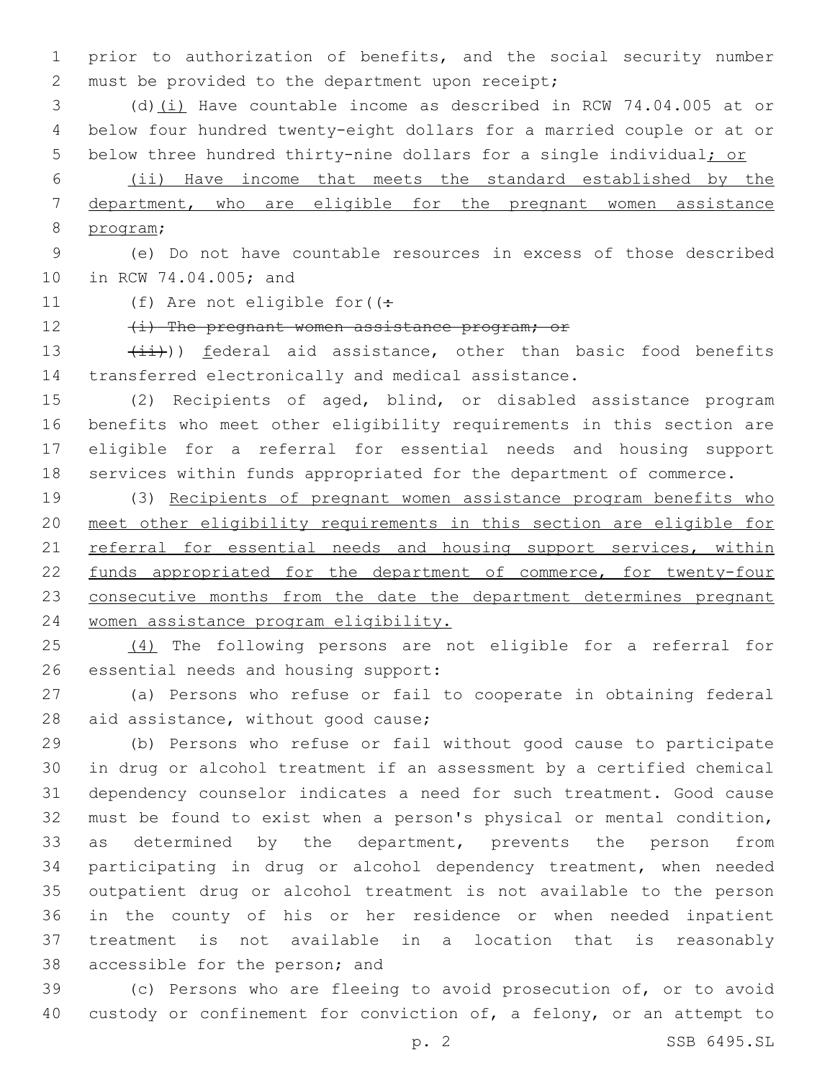prior to authorization of benefits, and the social security number 2 must be provided to the department upon receipt;

 (d)(i) Have countable income as described in RCW 74.04.005 at or below four hundred twenty-eight dollars for a married couple or at or 5 below three hundred thirty-nine dollars for a single individual; or

 (ii) Have income that meets the standard established by the department, who are eligible for the pregnant women assistance 8 program;

 (e) Do not have countable resources in excess of those described 10 in RCW 74.04.005; and

11 (f) Are not eligible for  $($ :

12 (i) The pregnant women assistance program; or

13  $(iii)$ ) <u>federal</u> aid assistance, other than basic food benefits transferred electronically and medical assistance.

 (2) Recipients of aged, blind, or disabled assistance program benefits who meet other eligibility requirements in this section are eligible for a referral for essential needs and housing support services within funds appropriated for the department of commerce.

 (3) Recipients of pregnant women assistance program benefits who meet other eligibility requirements in this section are eligible for 21 referral for essential needs and housing support services, within 22 funds appropriated for the department of commerce, for twenty-four 23 consecutive months from the date the department determines pregnant women assistance program eligibility.

 (4) The following persons are not eligible for a referral for 26 essential needs and housing support:

 (a) Persons who refuse or fail to cooperate in obtaining federal 28 aid assistance, without good cause;

 (b) Persons who refuse or fail without good cause to participate in drug or alcohol treatment if an assessment by a certified chemical dependency counselor indicates a need for such treatment. Good cause must be found to exist when a person's physical or mental condition, as determined by the department, prevents the person from participating in drug or alcohol dependency treatment, when needed outpatient drug or alcohol treatment is not available to the person in the county of his or her residence or when needed inpatient treatment is not available in a location that is reasonably 38 accessible for the person; and

 (c) Persons who are fleeing to avoid prosecution of, or to avoid 40 custody or confinement for conviction of, a felony, or an attempt to